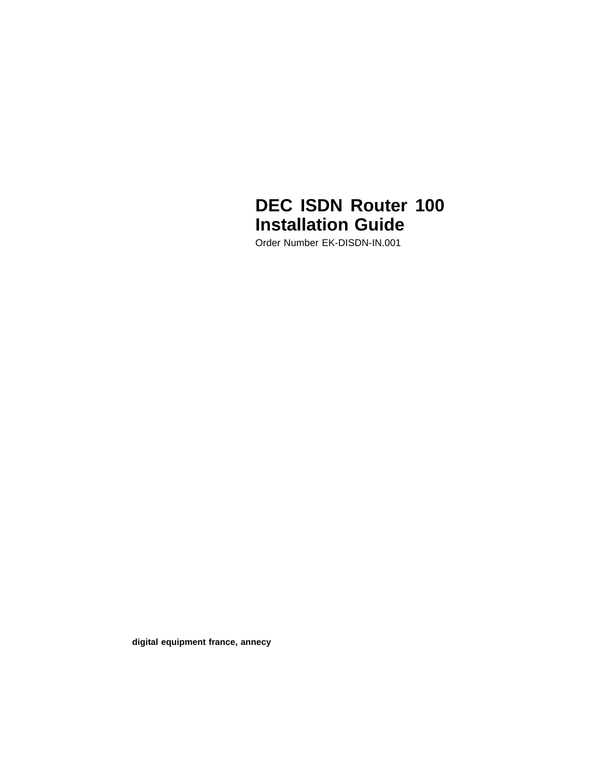# **DEC ISDN Router 100 Installation Guide**

Order Number EK-DISDN-IN.001

**digital equipment france, annecy**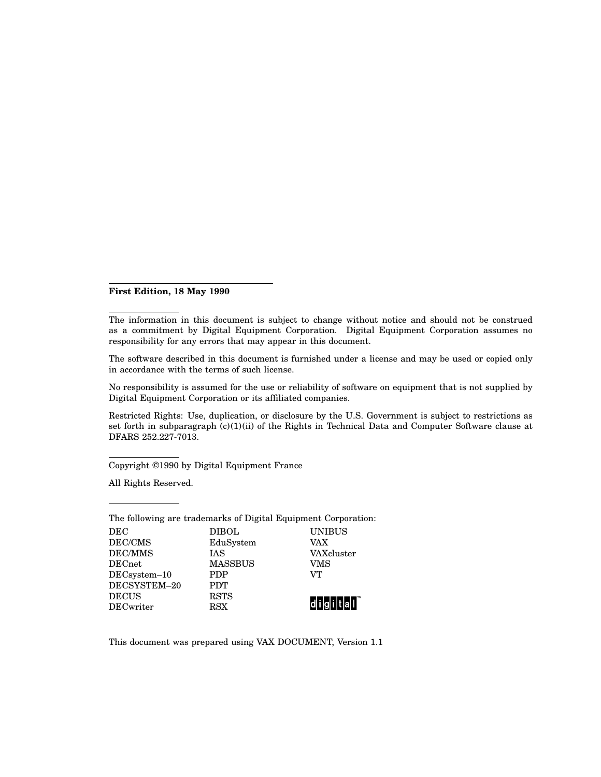#### **First Edition, 18 May 1990**

The information in this document is subject to change without notice and should not be construed as a commitment by Digital Equipment Corporation. Digital Equipment Corporation assumes no responsibility for any errors that may appear in this document.

The software described in this document is furnished under a license and may be used or copied only in accordance with the terms of such license.

No responsibility is assumed for the use or reliability of software on equipment that is not supplied by Digital Equipment Corporation or its affiliated companies.

Restricted Rights: Use, duplication, or disclosure by the U.S. Government is subject to restrictions as set forth in subparagraph (c)(1)(ii) of the Rights in Technical Data and Computer Software clause at DFARS 252.227-7013.

Copyright ©1990 by Digital Equipment France

All Rights Reserved.

| The following are trademarks of Digital Equipment Corporation: |                |               |  |
|----------------------------------------------------------------|----------------|---------------|--|
| DEC                                                            | <b>DIBOL</b>   | <b>UNIBUS</b> |  |
| DEC/CMS                                                        | EduSystem      | VAX           |  |
| DEC/MMS                                                        | <b>IAS</b>     | VAXcluster    |  |
| <b>DECnet</b>                                                  | <b>MASSBUS</b> | VMS           |  |
| DECsystem-10                                                   | <b>PDP</b>     | VТ            |  |
| DECSYSTEM-20                                                   | <b>PDT</b>     |               |  |
| <b>DECUS</b>                                                   | <b>RSTS</b>    |               |  |
| <b>DECwriter</b>                                               | <b>RSX</b>     |               |  |

This document was prepared using VAX DOCUMENT, Version 1.1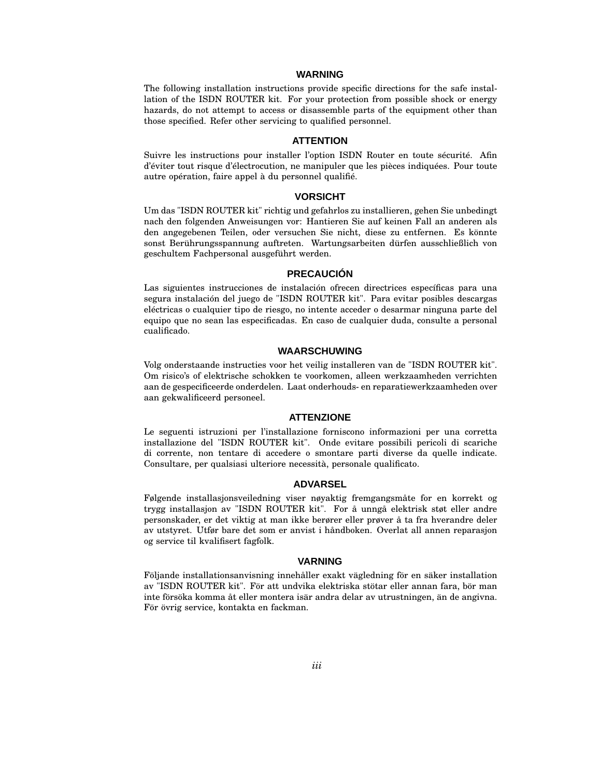#### **WARNING**

The following installation instructions provide specific directions for the safe installation of the ISDN ROUTER kit. For your protection from possible shock or energy hazards, do not attempt to access or disassemble parts of the equipment other than those specified. Refer other servicing to qualified personnel.

#### **ATTENTION**

Suivre les instructions pour installer l'option ISDN Router en toute sécurité. Afin d'éviter tout risque d'électrocution, ne manipuler que les pièces indiquées. Pour toute autre opération, faire appel à du personnel qualifié.

#### **VORSICHT**

Um das "ISDN ROUTER kit" richtig und gefahrlos zu installieren, gehen Sie unbedingt nach den folgenden Anweisungen vor: Hantieren Sie auf keinen Fall an anderen als den angegebenen Teilen, oder versuchen Sie nicht, diese zu entfernen. Es könnte sonst Berührungsspannung auftreten. Wartungsarbeiten dürfen ausschließlich von geschultem Fachpersonal ausgeführt werden.

#### **PRECAUCIÓN**

Las siguientes instrucciones de instalación ofrecen directrices específicas para una segura instalación del juego de "ISDN ROUTER kit". Para evitar posibles descargas eléctricas o cualquier tipo de riesgo, no intente acceder o desarmar ninguna parte del equipo que no sean las especificadas. En caso de cualquier duda, consulte a personal cualificado.

#### **WAARSCHUWING**

Volg onderstaande instructies voor het veilig installeren van de "ISDN ROUTER kit". Om risico's of elektrische schokken te voorkomen, alleen werkzaamheden verrichten aan de gespecificeerde onderdelen. Laat onderhouds- en reparatiewerkzaamheden over aan gekwalificeerd personeel.

#### **ATTENZIONE**

Le seguenti istruzioni per l'installazione forniscono informazioni per una corretta installazione del "ISDN ROUTER kit". Onde evitare possibili pericoli di scariche di corrente, non tentare di accedere o smontare parti diverse da quelle indicate. Consultare, per qualsiasi ulteriore necessità, personale qualificato.

#### **ADVARSEL**

Følgende installasjonsveiledning viser nøyaktig fremgangsmåte for en korrekt og trygg installasjon av "ISDN ROUTER kit". For å unngå elektrisk støt eller andre personskader, er det viktig at man ikke berører eller prøver å ta fra hverandre deler av utstyret. Utfør bare det som er anvist i håndboken. Overlat all annen reparasjon og service til kvalifisert fagfolk.

#### **VARNING**

Följande installationsanvisning innehåller exakt vägledning för en säker installation av "ISDN ROUTER kit". För att undvika elektriska stötar eller annan fara, bör man inte försöka komma åt eller montera isär andra delar av utrustningen, än de angivna. För övrig service, kontakta en fackman.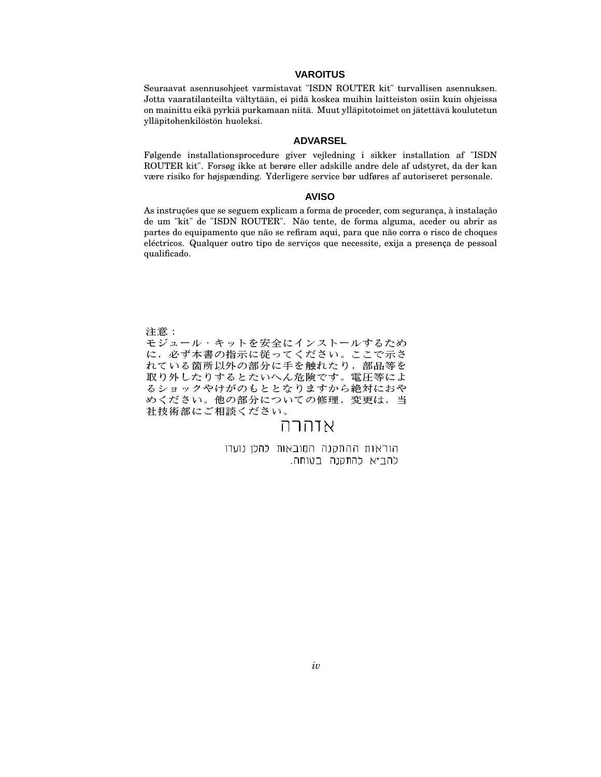#### **VAROITUS**

Seuraavat asennusohjeet varmistavat "ISDN ROUTER kit" turvallisen asennuksen. Jotta vaaratilanteilta vältytään, ei pidä koskea muihin laitteiston osiin kuin ohjeissa on mainittu eikä pyrkiä purkamaan niitä. Muut ylläpitotoimet on jätettävä koulutetun ylläpitohenkilöstön huoleksi.

#### **ADVARSEL**

Følgende installationsprocedure giver vejledning i sikker installation af "ISDN ROUTER kit". Forsøg ikke at berøre eller adskille andre dele af udstyret, da der kan være risiko for højspænding. Yderligere service bør udføres af autoriseret personale.

#### **AVISO**

As instruções que se seguem explicam a forma de proceder, com segurança, à instalação de um "kit" de "ISDN ROUTER". Não tente, de forma alguma, aceder ou abrir as partes do equipamento que não se refiram aqui, para que não corra o risco de choques eléctricos. Qualquer outro tipo de serviços que necessite, exija a presença de pessoal qualificado.

- モジュール・キットを安全にインストールするため に,必ず本書の指示に従ってください。ここで示さ れている箇所以外の部分に手を触れたり,部品等を 取り外したりするとたいへん危険です。電圧等によ るショックやけがのもととなりますから絶対におや<br>めください。他の部分についての修理,変更は,当 社技術部にご相談ください。

## אזהרה

הוראות ההתקנה המובאות להלן נועדו להביא להתקנה בטוחה.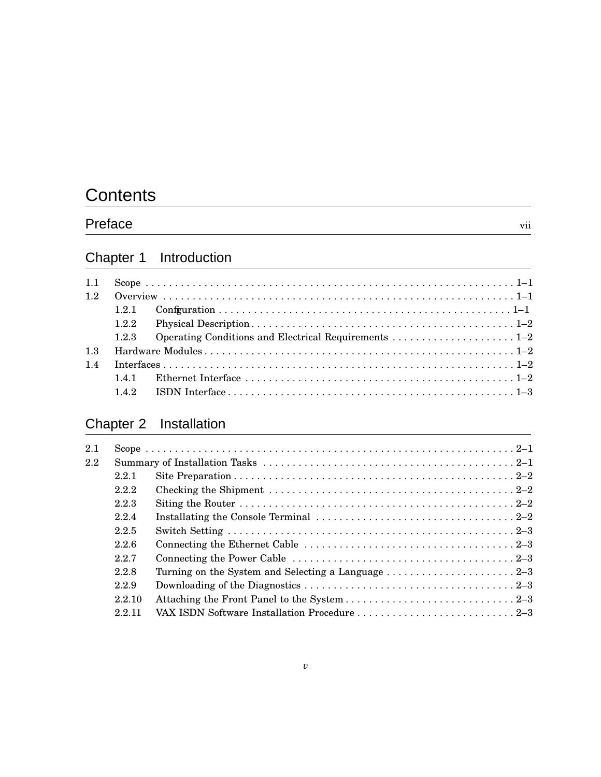# **Contents**

# Preface vii

# Chapter 1 Introduction

| 1.1 |       |  |
|-----|-------|--|
| 1.2 |       |  |
|     | 121   |  |
|     | 1.2.2 |  |
|     | 123   |  |
| 1.3 |       |  |
| 14  |       |  |
|     |       |  |
|     | 142   |  |

# Chapter 2 Installation

| 2.1 |       |                                                                                                                         |
|-----|-------|-------------------------------------------------------------------------------------------------------------------------|
| 2.2 |       |                                                                                                                         |
|     | 2.2.1 |                                                                                                                         |
|     | 2.2.2 |                                                                                                                         |
|     | 2.2.3 |                                                                                                                         |
|     | 2.2.4 | Installating the Console Terminal $\ldots \ldots \ldots \ldots \ldots \ldots \ldots \ldots \ldots \ldots \ldots \ldots$ |
|     | 2.2.5 |                                                                                                                         |
|     | 2.2.6 | Connecting the Ethernet Cable $\dots \dots \dots \dots \dots \dots \dots \dots \dots \dots \dots \dots 2-3$             |
|     | 2.2.7 |                                                                                                                         |
|     | 2.2.8 |                                                                                                                         |
|     | 2.2.9 |                                                                                                                         |
|     | 22.10 |                                                                                                                         |
|     | 22.11 | VAX ISDN Software Installation Procedure 2–3                                                                            |
|     |       |                                                                                                                         |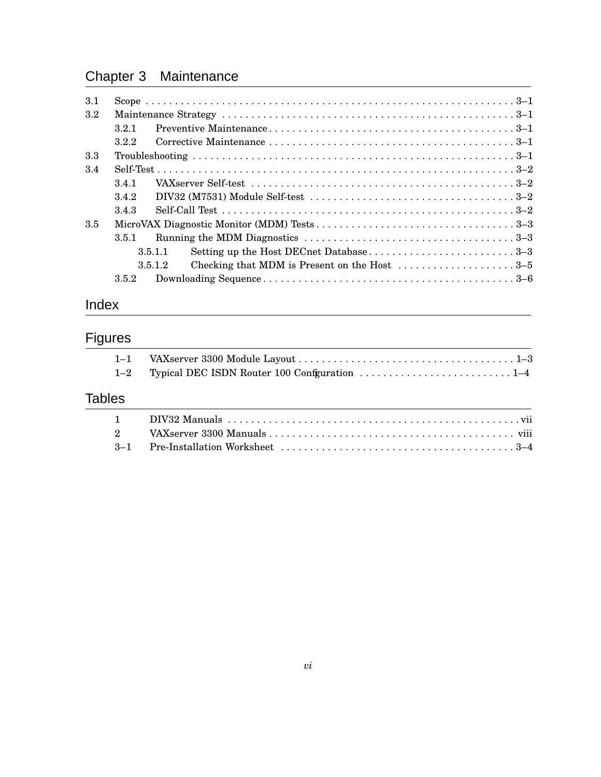# Chapter 3 Maintenance

| 3.1     |       |                                                                                                                      |
|---------|-------|----------------------------------------------------------------------------------------------------------------------|
| $3.2\,$ |       |                                                                                                                      |
|         | 321   |                                                                                                                      |
|         | 322   |                                                                                                                      |
| 3.3     |       |                                                                                                                      |
| 3.4     |       |                                                                                                                      |
|         | 341   |                                                                                                                      |
|         | 3.4.2 | DIV32 (M7531) Module Self-test $\ldots \ldots \ldots \ldots \ldots \ldots \ldots \ldots \ldots \ldots \ldots \ldots$ |
|         | 3.4.3 |                                                                                                                      |
| 3.5     |       |                                                                                                                      |
|         | 351   |                                                                                                                      |
|         |       | 3.5.1.1                                                                                                              |
|         |       | Checking that MDM is Present on the Host $\dots \dots \dots \dots \dots \dots \dots$<br>3.5.1.2                      |
|         | 352   |                                                                                                                      |
|         |       |                                                                                                                      |

# Index

# Figures

| $1 - 1$        |                                                                                                         |
|----------------|---------------------------------------------------------------------------------------------------------|
| $1 - 2$        | Typical DEC ISDN Router 100 Configuration $\ldots \ldots \ldots \ldots \ldots \ldots \ldots \ldots 1-4$ |
| <b>Tables</b>  |                                                                                                         |
|                |                                                                                                         |
| $\overline{2}$ |                                                                                                         |
| $3 - 1$        |                                                                                                         |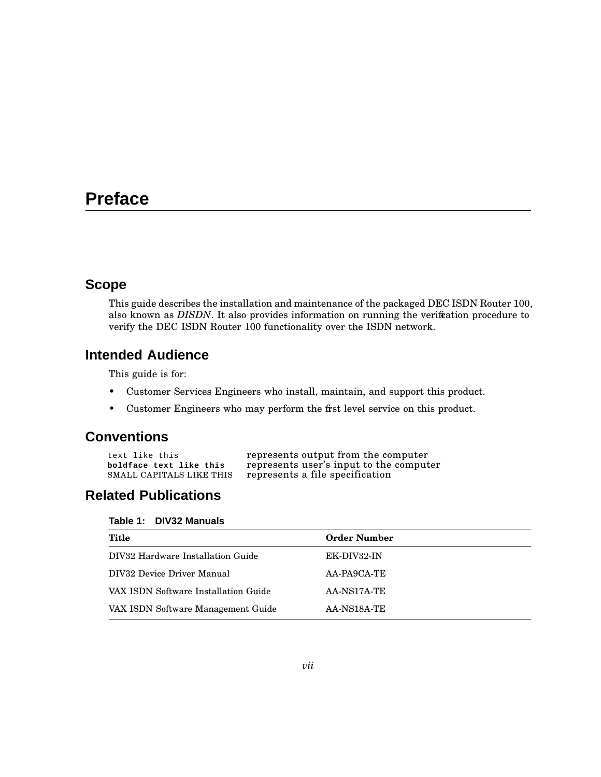# **Preface**

## **Scope**

This guide describes the installation and maintenance of the packaged DEC ISDN Router 100, also known as *DISDN*. It also provides information on running the verification procedure to verify the DEC ISDN Router 100 functionality over the ISDN network.

# **Intended Audience**

This guide is for:

- Customer Services Engineers who install, maintain, and support this product.
- Customer Engineers who may perform the first level service on this product.

## **Conventions**

| text like this           | represents output from the computer     |
|--------------------------|-----------------------------------------|
| boldface text like this  | represents user's input to the computer |
| SMALL CAPITALS LIKE THIS | represents a file specification         |

# **Related Publications**

| Table 1: |  | <b>DIV32 Manuals</b> |
|----------|--|----------------------|
|----------|--|----------------------|

| Title                                | <b>Order Number</b> |
|--------------------------------------|---------------------|
| DIV32 Hardware Installation Guide    | EK-DIV32-IN         |
| DIV32 Device Driver Manual           | $AA-PAGCA-TE$       |
| VAX ISDN Software Installation Guide | AA-NS17A-TE         |
| VAX ISDN Software Management Guide   | AA-NS18A-TE         |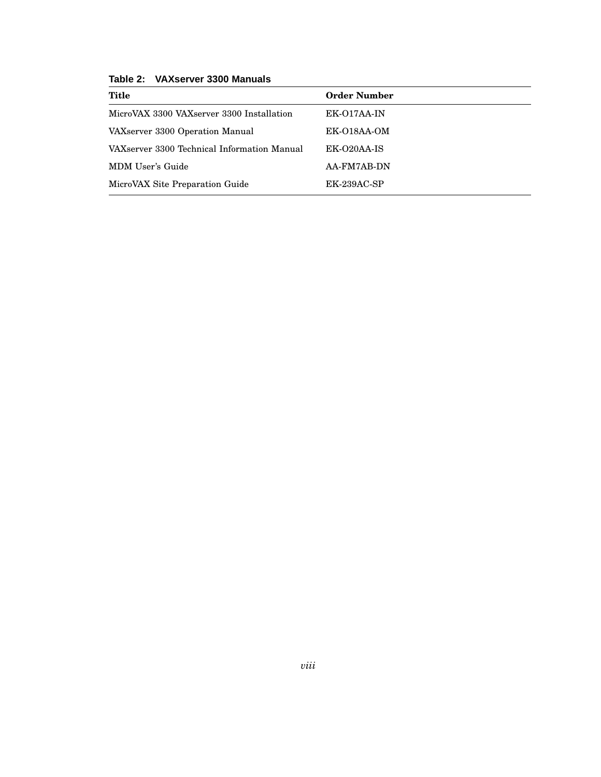| Title                                       | <b>Order Number</b> |
|---------------------------------------------|---------------------|
| MicroVAX 3300 VAXserver 3300 Installation   | EK-017AA-IN         |
| VAXserver 3300 Operation Manual             | EK-018AA-OM         |
| VAXserver 3300 Technical Information Manual | EK-O20AA-IS         |
| MDM User's Guide                            | AA-FM7AB-DN         |
| MicroVAX Site Preparation Guide             | EK-239AC-SP         |

**Table 2: VAXserver 3300 Manuals**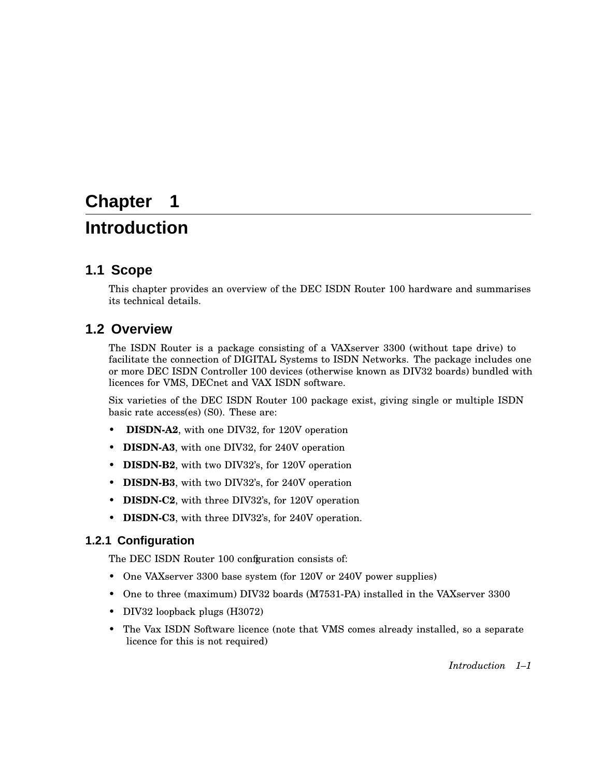# **Chapter 1**

# **Introduction**

## **1.1 Scope**

This chapter provides an overview of the DEC ISDN Router 100 hardware and summarises its technical details.

## **1.2 Overview**

The ISDN Router is a package consisting of a VAXserver 3300 (without tape drive) to facilitate the connection of DIGITAL Systems to ISDN Networks. The package includes one or more DEC ISDN Controller 100 devices (otherwise known as DIV32 boards) bundled with licences for VMS, DECnet and VAX ISDN software.

Six varieties of the DEC ISDN Router 100 package exist, giving single or multiple ISDN basic rate access(es) (S0). These are:

- **DISDN-A2**, with one DIV32, for 120V operation
- **DISDN-A3**, with one DIV32, for 240V operation
- **DISDN-B2**, with two DIV32's, for 120V operation
- **DISDN-B3**, with two DIV32's, for 240V operation
- **DISDN-C2**, with three DIV32's, for 120V operation
- **DISDN-C3**, with three DIV32's, for 240V operation.

## **1.2.1 Configuration**

The DEC ISDN Router 100 configuration consists of:

- One VAXserver 3300 base system (for 120V or 240V power supplies)
- One to three (maximum) DIV32 boards (M7531-PA) installed in the VAXserver 3300
- DIV32 loopback plugs (H3072)
- The Vax ISDN Software licence (note that VMS comes already installed, so a separate licence for this is not required)

*Introduction 1–1*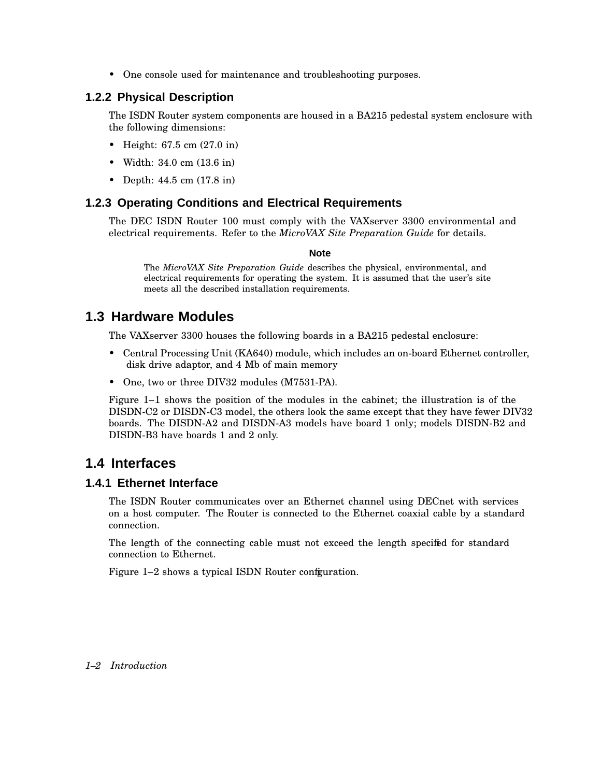• One console used for maintenance and troubleshooting purposes.

### **1.2.2 Physical Description**

The ISDN Router system components are housed in a BA215 pedestal system enclosure with the following dimensions:

- Height: 67.5 cm (27.0 in)
- Width: 34.0 cm (13.6 in)
- Depth: 44.5 cm (17.8 in)

#### **1.2.3 Operating Conditions and Electrical Requirements**

The DEC ISDN Router 100 must comply with the VAXserver 3300 environmental and electrical requirements. Refer to the *MicroVAX Site Preparation Guide* for details.

#### **Note**

The *MicroVAX Site Preparation Guide* describes the physical, environmental, and electrical requirements for operating the system. It is assumed that the user's site meets all the described installation requirements.

## **1.3 Hardware Modules**

The VAXserver 3300 houses the following boards in a BA215 pedestal enclosure:

- Central Processing Unit (KA640) module, which includes an on-board Ethernet controller, disk drive adaptor, and 4 Mb of main memory
- One, two or three DIV32 modules (M7531-PA).

Figure 1–1 shows the position of the modules in the cabinet; the illustration is of the DISDN-C2 or DISDN-C3 model, the others look the same except that they have fewer DIV32 boards. The DISDN-A2 and DISDN-A3 models have board 1 only; models DISDN-B2 and DISDN-B3 have boards 1 and 2 only.

## **1.4 Interfaces**

#### **1.4.1 Ethernet Interface**

The ISDN Router communicates over an Ethernet channel using DECnet with services on a host computer. The Router is connected to the Ethernet coaxial cable by a standard connection.

The length of the connecting cable must not exceed the length specified for standard connection to Ethernet.

Figure 1–2 shows a typical ISDN Router configuration.

#### *1–2 Introduction*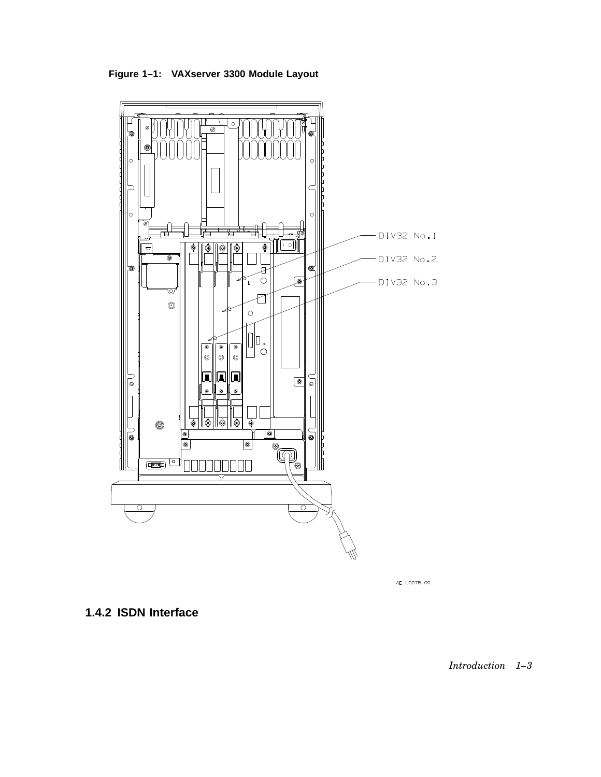**Figure 1–1: VAXserver 3300 Module Layout**



AE-U007B-00

**1.4.2 ISDN Interface**

*Introduction 1–3*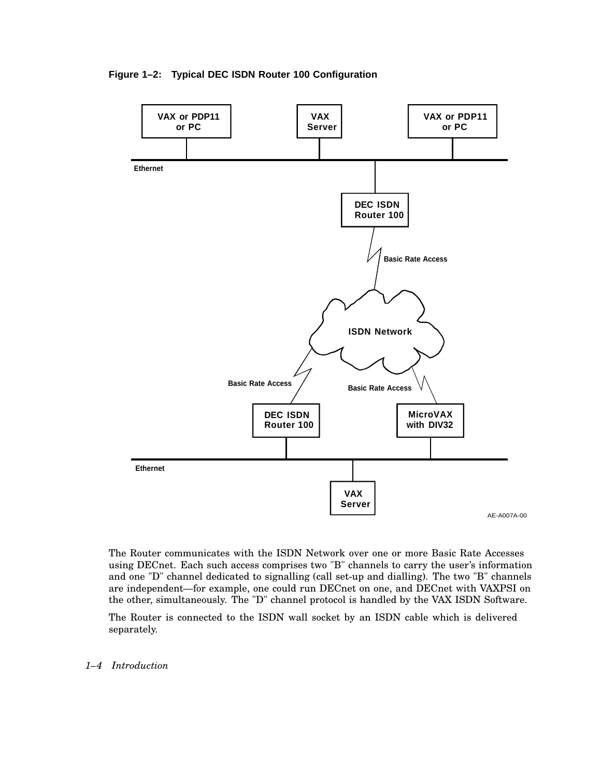



The Router communicates with the ISDN Network over one or more Basic Rate Accesses using DECnet. Each such access comprises two "B" channels to carry the user's information and one "D" channel dedicated to signalling (call set-up and dialling). The two "B" channels are independent—for example, one could run DECnet on one, and DECnet with VAXPSI on the other, simultaneously. The "D" channel protocol is handled by the VAX ISDN Software.

The Router is connected to the ISDN wall socket by an ISDN cable which is delivered separately.

*1–4 Introduction*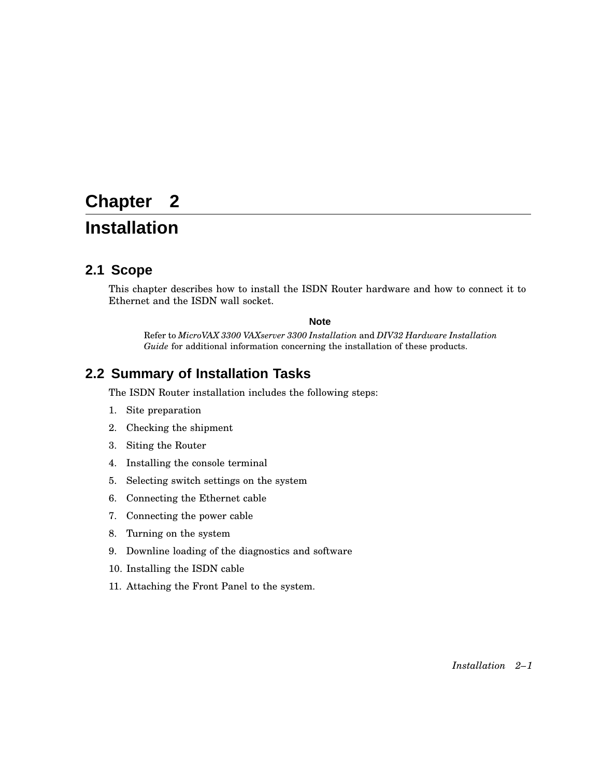# **Chapter 2**

# **Installation**

# **2.1 Scope**

This chapter describes how to install the ISDN Router hardware and how to connect it to Ethernet and the ISDN wall socket.

#### **Note**

Refer to *MicroVAX 3300 VAXserver 3300 Installation* and *DIV32 Hardware Installation Guide* for additional information concerning the installation of these products.

# **2.2 Summary of Installation Tasks**

The ISDN Router installation includes the following steps:

- 1. Site preparation
- 2. Checking the shipment
- 3. Siting the Router
- 4. Installing the console terminal
- 5. Selecting switch settings on the system
- 6. Connecting the Ethernet cable
- 7. Connecting the power cable
- 8. Turning on the system
- 9. Downline loading of the diagnostics and software
- 10. Installing the ISDN cable
- 11. Attaching the Front Panel to the system.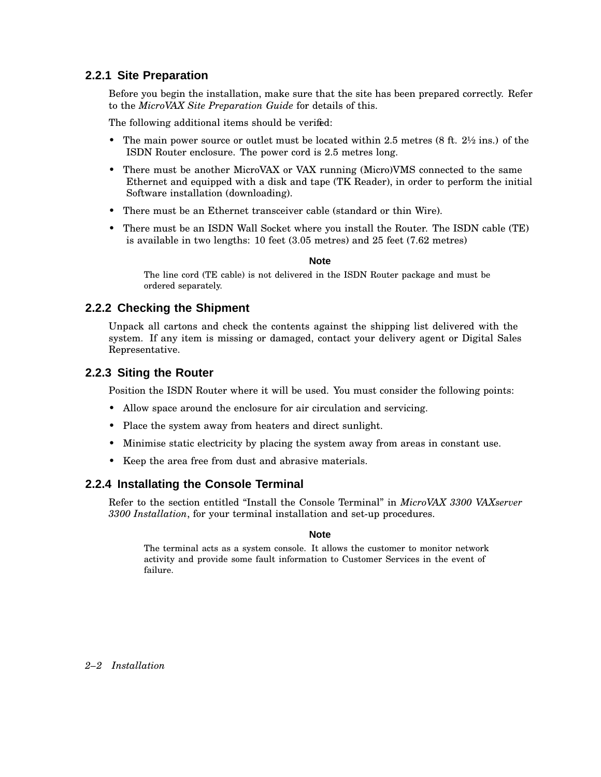## **2.2.1 Site Preparation**

Before you begin the installation, make sure that the site has been prepared correctly. Refer to the *MicroVAX Site Preparation Guide* for details of this.

The following additional items should be verifed:

- The main power source or outlet must be located within 2.5 metres (8 ft. 2½ ins.) of the ISDN Router enclosure. The power cord is 2.5 metres long.
- There must be another MicroVAX or VAX running (Micro)VMS connected to the same Ethernet and equipped with a disk and tape (TK Reader), in order to perform the initial Software installation (downloading).
- There must be an Ethernet transceiver cable (standard or thin Wire).
- There must be an ISDN Wall Socket where you install the Router. The ISDN cable (TE) is available in two lengths: 10 feet (3.05 metres) and 25 feet (7.62 metres)

#### **Note**

The line cord (TE cable) is not delivered in the ISDN Router package and must be ordered separately.

## **2.2.2 Checking the Shipment**

Unpack all cartons and check the contents against the shipping list delivered with the system. If any item is missing or damaged, contact your delivery agent or Digital Sales Representative.

### **2.2.3 Siting the Router**

Position the ISDN Router where it will be used. You must consider the following points:

- Allow space around the enclosure for air circulation and servicing.
- Place the system away from heaters and direct sunlight.
- Minimise static electricity by placing the system away from areas in constant use.
- Keep the area free from dust and abrasive materials.

## **2.2.4 Installating the Console Terminal**

Refer to the section entitled ''Install the Console Terminal'' in *MicroVAX 3300 VAXserver 3300 Installation*, for your terminal installation and set-up procedures.

#### **Note**

The terminal acts as a system console. It allows the customer to monitor network activity and provide some fault information to Customer Services in the event of failure.

*2–2 Installation*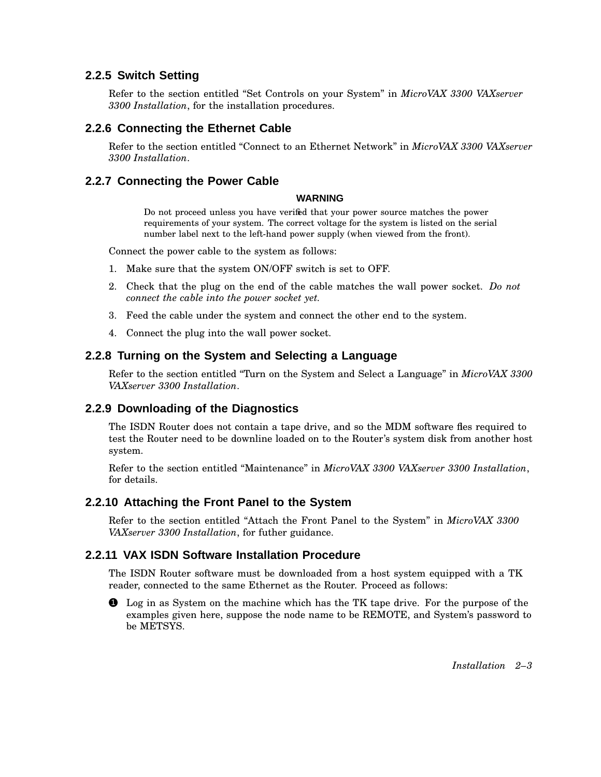## **2.2.5 Switch Setting**

Refer to the section entitled ''Set Controls on your System'' in *MicroVAX 3300 VAXserver 3300 Installation*, for the installation procedures.

## **2.2.6 Connecting the Ethernet Cable**

Refer to the section entitled ''Connect to an Ethernet Network'' in *MicroVAX 3300 VAXserver 3300 Installation*.

### **2.2.7 Connecting the Power Cable**

#### **WARNING**

Do not proceed unless you have verified that your power source matches the power requirements of your system. The correct voltage for the system is listed on the serial number label next to the left-hand power supply (when viewed from the front).

Connect the power cable to the system as follows:

- 1. Make sure that the system ON/OFF switch is set to OFF.
- 2. Check that the plug on the end of the cable matches the wall power socket. *Do not connect the cable into the power socket yet.*
- 3. Feed the cable under the system and connect the other end to the system.
- 4. Connect the plug into the wall power socket.

### **2.2.8 Turning on the System and Selecting a Language**

Refer to the section entitled ''Turn on the System and Select a Language'' in *MicroVAX 3300 VAXserver 3300 Installation*.

## **2.2.9 Downloading of the Diagnostics**

The ISDN Router does not contain a tape drive, and so the MDM software fles required to test the Router need to be downline loaded on to the Router's system disk from another host system.

Refer to the section entitled ''Maintenance'' in *MicroVAX 3300 VAXserver 3300 Installation*, for details.

#### **2.2.10 Attaching the Front Panel to the System**

Refer to the section entitled ''Attach the Front Panel to the System'' in *MicroVAX 3300 VAXserver 3300 Installation*, for futher guidance.

#### **2.2.11 VAX ISDN Software Installation Procedure**

The ISDN Router software must be downloaded from a host system equipped with a TK reader, connected to the same Ethernet as the Router. Proceed as follows:

**1** Log in as System on the machine which has the TK tape drive. For the purpose of the examples given here, suppose the node name to be REMOTE, and System's password to be METSYS.

*Installation 2–3*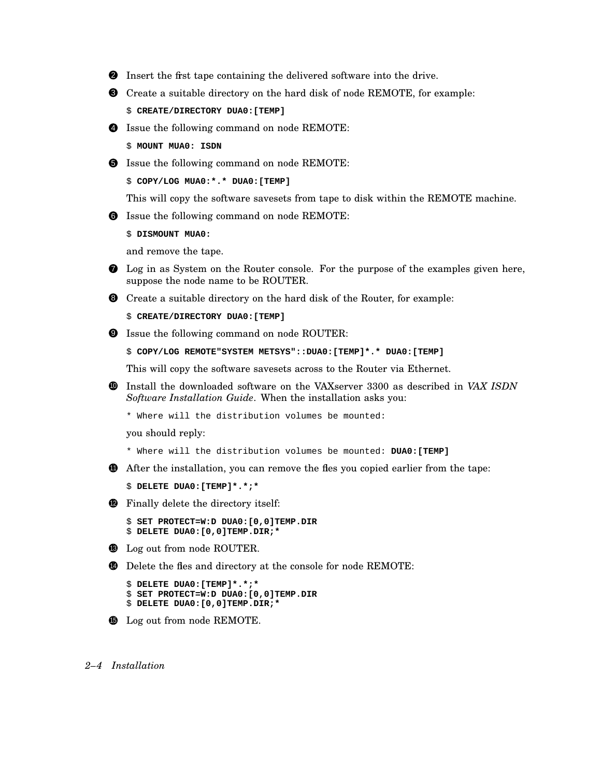- 2 Insert the first tape containing the delivered software into the drive.
- 3 Create a suitable directory on the hard disk of node REMOTE, for example:
	- \$ **CREATE/DIRECTORY DUA0:[TEMP]**
- 4 Issue the following command on node REMOTE:
	- \$ **MOUNT MUA0: ISDN**
- $\bullet$  Issue the following command on node REMOTE:

\$ **COPY/LOG MUA0:\*.\* DUA0:[TEMP]**

This will copy the software savesets from tape to disk within the REMOTE machine.

6 Issue the following command on node REMOTE:

\$ **DISMOUNT MUA0:**

and remove the tape.

- 7 Log in as System on the Router console. For the purpose of the examples given here, suppose the node name to be ROUTER.
- 8 Create a suitable directory on the hard disk of the Router, for example:
	- \$ **CREATE/DIRECTORY DUA0:[TEMP]**
- 9 Issue the following command on node ROUTER:

```
$ COPY/LOG REMOTE"SYSTEM METSYS"::DUA0:[TEMP]*.* DUA0:[TEMP]
```
This will copy the software savesets across to the Router via Ethernet.

- <sup>10</sup> Install the downloaded software on the VAXserver 3300 as described in *VAX ISDN Software Installation Guide*. When the installation asks you:
	- \* Where will the distribution volumes be mounted:

you should reply:

- \* Where will the distribution volumes be mounted: **DUA0:[TEMP]**
- $\bullet$  After the installation, you can remove the files you copied earlier from the tape:

\$ **DELETE DUA0:[TEMP]\*.\*;\***

**12** Finally delete the directory itself:

```
$ SET PROTECT=W:D DUA0:[0,0]TEMP.DIR
$ DELETE DUA0:[0,0]TEMP.DIR;*
```
- **13** Log out from node ROUTER.
- **4** Delete the fles and directory at the console for node REMOTE:

```
$ DELETE DUA0:[TEMP]*.*;*
$ SET PROTECT=W:D DUA0:[0,0]TEMP.DIR
$ DELETE DUA0:[0,0]TEMP.DIR;*
```
**15** Log out from node REMOTE.

#### *2–4 Installation*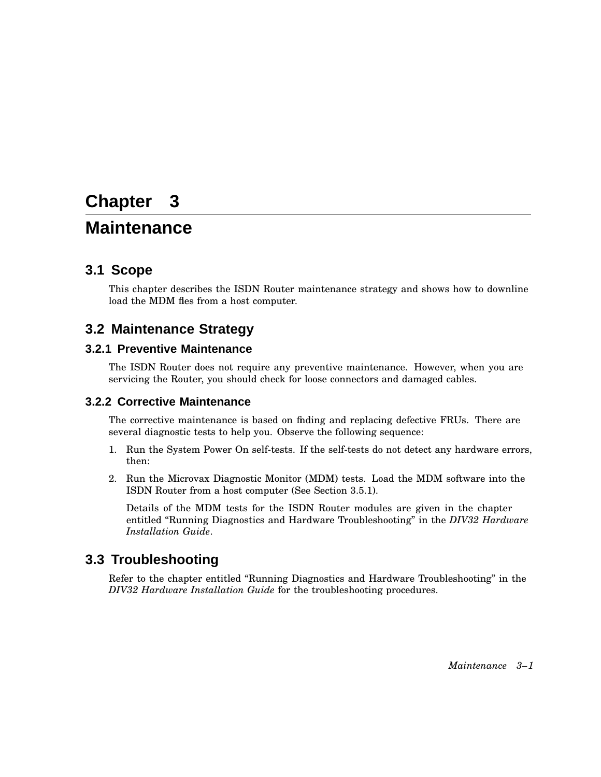# **Chapter 3**

# **Maintenance**

## **3.1 Scope**

This chapter describes the ISDN Router maintenance strategy and shows how to downline load the MDM fles from a host computer.

## **3.2 Maintenance Strategy**

### **3.2.1 Preventive Maintenance**

The ISDN Router does not require any preventive maintenance. However, when you are servicing the Router, you should check for loose connectors and damaged cables.

#### **3.2.2 Corrective Maintenance**

The corrective maintenance is based on finding and replacing defective FRUs. There are several diagnostic tests to help you. Observe the following sequence:

- 1. Run the System Power On self-tests. If the self-tests do not detect any hardware errors, then:
- 2. Run the Microvax Diagnostic Monitor (MDM) tests. Load the MDM software into the ISDN Router from a host computer (See Section 3.5.1).

Details of the MDM tests for the ISDN Router modules are given in the chapter entitled ''Running Diagnostics and Hardware Troubleshooting'' in the *DIV32 Hardware Installation Guide*.

## **3.3 Troubleshooting**

Refer to the chapter entitled ''Running Diagnostics and Hardware Troubleshooting'' in the *DIV32 Hardware Installation Guide* for the troubleshooting procedures.

*Maintenance 3–1*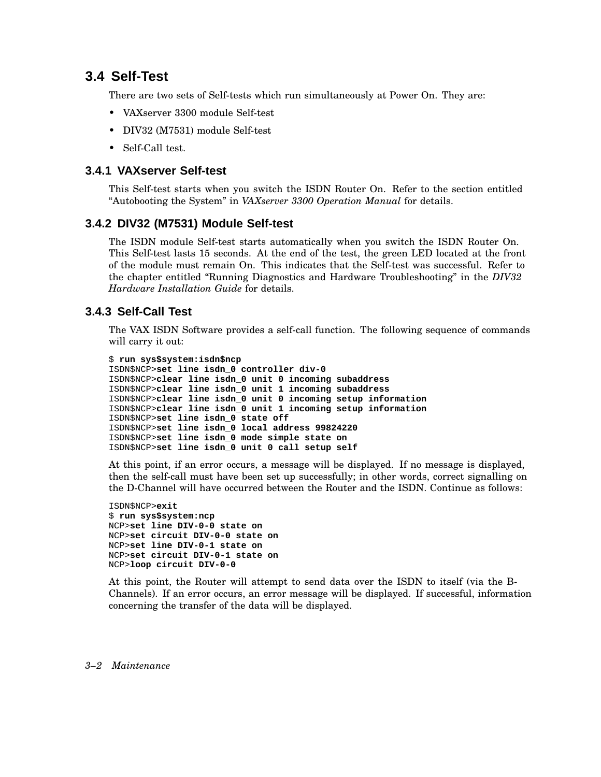## **3.4 Self-Test**

There are two sets of Self-tests which run simultaneously at Power On. They are:

- VAXserver 3300 module Self-test
- DIV32 (M7531) module Self-test
- Self-Call test.

### **3.4.1 VAXserver Self-test**

This Self-test starts when you switch the ISDN Router On. Refer to the section entitled ''Autobooting the System'' in *VAXserver 3300 Operation Manual* for details.

### **3.4.2 DIV32 (M7531) Module Self-test**

The ISDN module Self-test starts automatically when you switch the ISDN Router On. This Self-test lasts 15 seconds. At the end of the test, the green LED located at the front of the module must remain On. This indicates that the Self-test was successful. Refer to the chapter entitled ''Running Diagnostics and Hardware Troubleshooting'' in the *DIV32 Hardware Installation Guide* for details.

## **3.4.3 Self-Call Test**

The VAX ISDN Software provides a self-call function. The following sequence of commands will carry it out:

```
$ run sys$system:isdn$ncp
ISDN$NCP>set line isdn_0 controller div-0
ISDN$NCP>clear line isdn_0 unit 0 incoming subaddress
ISDN$NCP>clear line isdn_0 unit 1 incoming subaddress
ISDN$NCP>clear line isdn_0 unit 0 incoming setup information
ISDN$NCP>clear line isdn_0 unit 1 incoming setup information
ISDN$NCP>set line isdn_0 state off
ISDN$NCP>set line isdn_0 local address 99824220
ISDN$NCP>set line isdn_0 mode simple state on
ISDN$NCP>set line isdn_0 unit 0 call setup self
```
At this point, if an error occurs, a message will be displayed. If no message is displayed, then the self-call must have been set up successfully; in other words, correct signalling on the D-Channel will have occurred between the Router and the ISDN. Continue as follows:

```
ISDN$NCP>exit
$ run sys$system:ncp
NCP>set line DIV-0-0 state on
NCP>set circuit DIV-0-0 state on
NCP>set line DIV-0-1 state on
NCP>set circuit DIV-0-1 state on
NCP>loop circuit DIV-0-0
```
At this point, the Router will attempt to send data over the ISDN to itself (via the B-Channels). If an error occurs, an error message will be displayed. If successful, information concerning the transfer of the data will be displayed.

#### *3–2 Maintenance*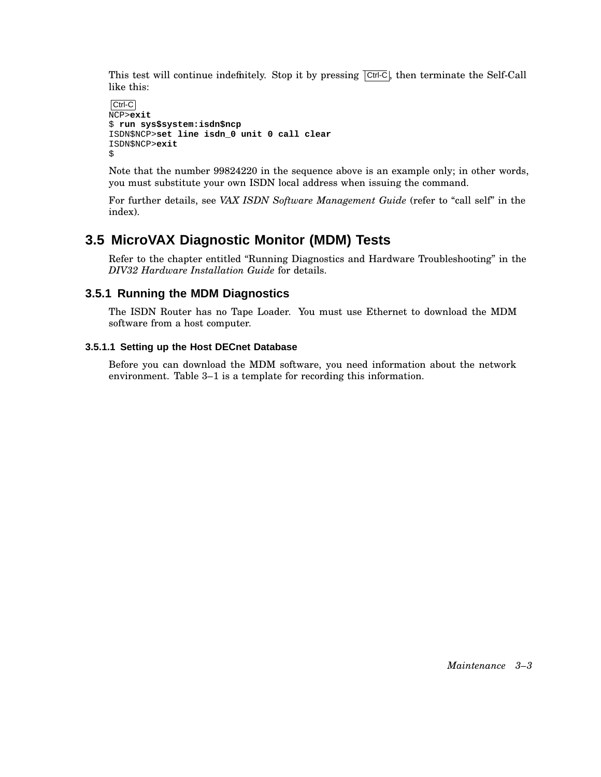This test will continue indefinitely. Stop it by pressing  $\overline{[Ctr]}\cdot\overline{C}$ , then terminate the Self-Call like this:

```
Ctrl-C
NCP>exit
$ run sys$system:isdn$ncp
ISDN$NCP>set line isdn_0 unit 0 call clear
ISDN$NCP>exit
$
```
Note that the number 99824220 in the sequence above is an example only; in other words, you must substitute your own ISDN local address when issuing the command.

For further details, see *VAX ISDN Software Management Guide* (refer to ''call self'' in the index).

# **3.5 MicroVAX Diagnostic Monitor (MDM) Tests**

Refer to the chapter entitled ''Running Diagnostics and Hardware Troubleshooting'' in the *DIV32 Hardware Installation Guide* for details.

## **3.5.1 Running the MDM Diagnostics**

The ISDN Router has no Tape Loader. You must use Ethernet to download the MDM software from a host computer.

#### **3.5.1.1 Setting up the Host DECnet Database**

Before you can download the MDM software, you need information about the network environment. Table 3–1 is a template for recording this information.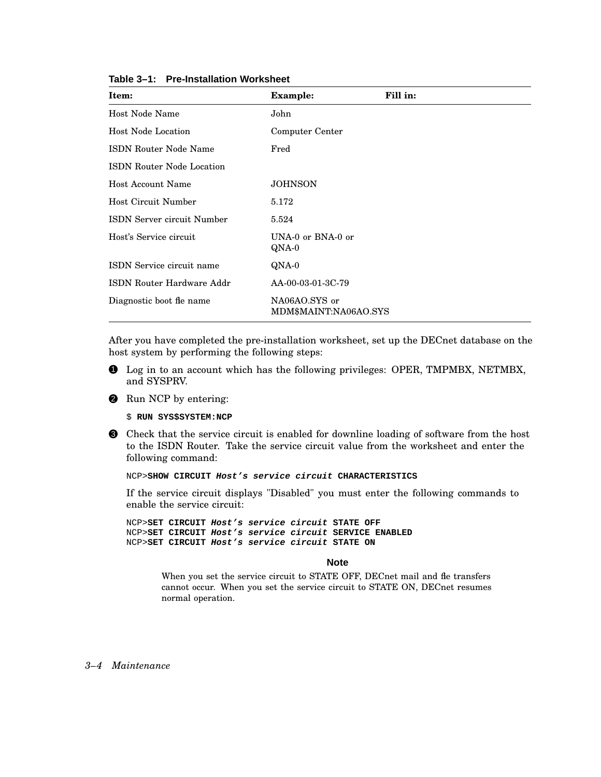| Item:                             | <b>Example:</b>                        | Fill in: |
|-----------------------------------|----------------------------------------|----------|
| Host Node Name                    | John                                   |          |
| Host Node Location                | Computer Center                        |          |
| <b>ISDN Router Node Name</b>      | Fred                                   |          |
| <b>ISDN Router Node Location</b>  |                                        |          |
| <b>Host Account Name</b>          | <b>JOHNSON</b>                         |          |
| Host Circuit Number               | 5.172                                  |          |
| <b>ISDN Server circuit Number</b> | 5.524                                  |          |
| Host's Service circuit            | UNA-0 or BNA-0 or<br>QNA-0             |          |
| ISDN Service circuit name         | QNA-0                                  |          |
| ISDN Router Hardware Addr         | AA-00-03-01-3C-79                      |          |
| Diagnostic boot fle name          | NA06AO.SYS or<br>MDM\$MAINT:NA06AO.SYS |          |

**Table 3–1: Pre-Installation Worksheet**

After you have completed the pre-installation worksheet, set up the DECnet database on the host system by performing the following steps:

- 1 Log in to an account which has the following privileges: OPER, TMPMBX, NETMBX, and SYSPRV.
- **2** Run NCP by entering:

\$ **RUN SYS\$SYSTEM:NCP**

3 Check that the service circuit is enabled for downline loading of software from the host to the ISDN Router. Take the service circuit value from the worksheet and enter the following command:

NCP>**SHOW CIRCUIT Host's service circuit CHARACTERISTICS**

If the service circuit displays "Disabled" you must enter the following commands to enable the service circuit:

NCP>**SET CIRCUIT Host's service circuit STATE OFF** NCP>**SET CIRCUIT Host's service circuit SERVICE ENABLED** NCP>**SET CIRCUIT Host's service circuit STATE ON**

#### **Note**

When you set the service circuit to STATE OFF, DECnet mail and fle transfers cannot occur. When you set the service circuit to STATE ON, DECnet resumes normal operation.

*3–4 Maintenance*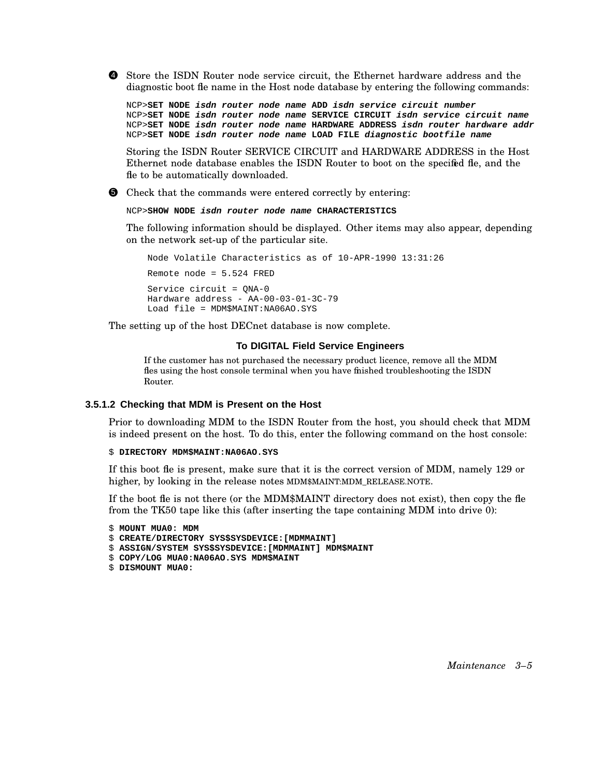4 Store the ISDN Router node service circuit, the Ethernet hardware address and the diagnostic boot file name in the Host node database by entering the following commands:

NCP>**SET NODE isdn router node name ADD isdn service circuit number** NCP>**SET NODE isdn router node name SERVICE CIRCUIT isdn service circuit name** NCP>**SET NODE isdn router node name HARDWARE ADDRESS isdn router hardware addr** NCP>**SET NODE isdn router node name LOAD FILE diagnostic bootfile name**

Storing the ISDN Router SERVICE CIRCUIT and HARDWARE ADDRESS in the Host Ethernet node database enables the ISDN Router to boot on the specified fle, and the fle to be automatically downloaded.

5 Check that the commands were entered correctly by entering:

NCP>**SHOW NODE isdn router node name CHARACTERISTICS**

The following information should be displayed. Other items may also appear, depending on the network set-up of the particular site.

Node Volatile Characteristics as of 10-APR-1990 13:31:26 Remote node = 5.524 FRED Service circuit = QNA-0 Hardware address - AA-00-03-01-3C-79 Load file = MDM\$MAINT:NA06AO.SYS

The setting up of the host DECnet database is now complete.

#### **To DIGITAL Field Service Engineers**

If the customer has not purchased the necessary product licence, remove all the MDM fles using the host console terminal when you have finished troubleshooting the ISDN Router.

#### **3.5.1.2 Checking that MDM is Present on the Host**

Prior to downloading MDM to the ISDN Router from the host, you should check that MDM is indeed present on the host. To do this, enter the following command on the host console:

#### \$ **DIRECTORY MDM\$MAINT:NA06AO.SYS**

If this boot fle is present, make sure that it is the correct version of MDM, namely 129 or higher, by looking in the release notes MDM\$MAINT:MDM\_RELEASE.NOTE.

If the boot fle is not there (or the MDM\$MAINT directory does not exist), then copy the fle from the TK50 tape like this (after inserting the tape containing MDM into drive 0):

```
$ MOUNT MUA0: MDM
$ CREATE/DIRECTORY SYS$SYSDEVICE:[MDMMAINT]
$ ASSIGN/SYSTEM SYS$SYSDEVICE:[MDMMAINT] MDM$MAINT
$ COPY/LOG MUA0:NA06AO.SYS MDM$MAINT
$ DISMOUNT MUA0:
```
*Maintenance 3–5*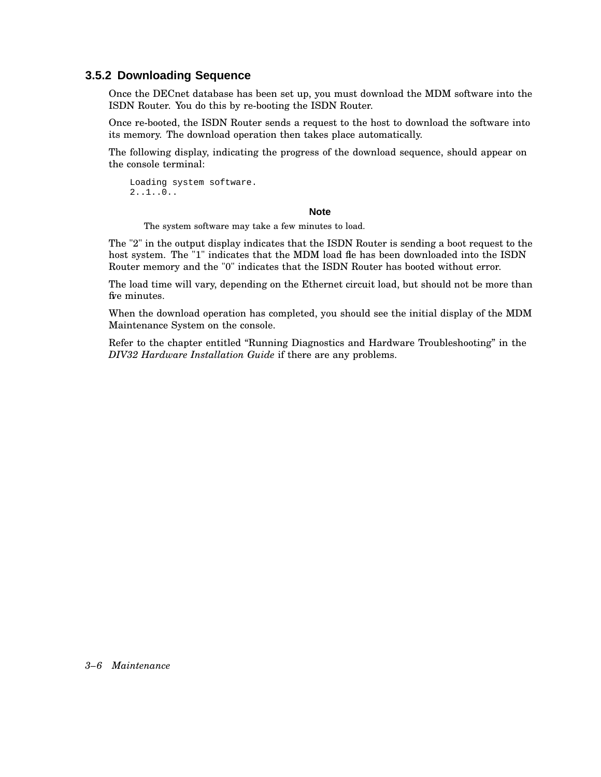### **3.5.2 Downloading Sequence**

Once the DECnet database has been set up, you must download the MDM software into the ISDN Router. You do this by re-booting the ISDN Router.

Once re-booted, the ISDN Router sends a request to the host to download the software into its memory. The download operation then takes place automatically.

The following display, indicating the progress of the download sequence, should appear on the console terminal:

```
Loading system software.
2..1..0..
```
#### **Note**

The system software may take a few minutes to load.

The "2" in the output display indicates that the ISDN Router is sending a boot request to the host system. The "1" indicates that the MDM load fie has been downloaded into the ISDN Router memory and the "0" indicates that the ISDN Router has booted without error.

The load time will vary, depending on the Ethernet circuit load, but should not be more than fre minutes.

When the download operation has completed, you should see the initial display of the MDM Maintenance System on the console.

Refer to the chapter entitled ''Running Diagnostics and Hardware Troubleshooting'' in the *DIV32 Hardware Installation Guide* if there are any problems.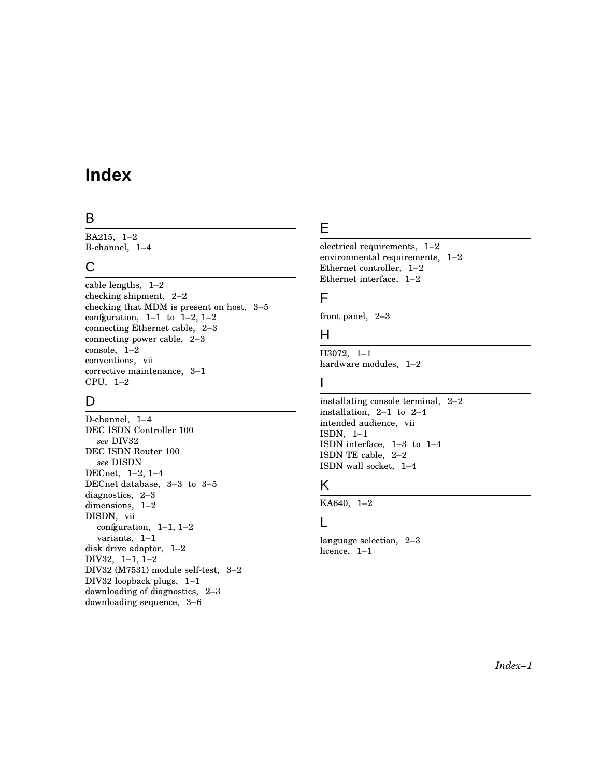# **Index**

## B

BA215, 1–2 B-channel, 1–4

## C

cable lengths, 1–2 checking shipment, 2–2 checking that MDM is present on host, 3–5 configuration,  $1-1$  to  $1-2$ ,  $1-2$ connecting Ethernet cable, 2–3 connecting power cable, 2–3 console, 1–2 conventions, vii corrective maintenance, 3–1 CPU, 1–2

# D

D-channel, 1–4 DEC ISDN Controller 100 *see* DIV32 DEC ISDN Router 100 *see* DISDN DECnet, 1–2, 1–4 DECnet database, 3–3 to 3–5 diagnostics, 2–3 dimensions, 1–2 DISDN, vii configuration,  $1-1$ ,  $1-2$ variants, 1–1 disk drive adaptor, 1–2 DIV32, 1–1, 1–2 DIV32 (M7531) module self-test, 3–2 DIV32 loopback plugs, 1–1 downloading of diagnostics, 2–3 downloading sequence, 3–6

# E

electrical requirements, 1–2 environmental requirements, 1–2 Ethernet controller, 1–2 Ethernet interface, 1–2

## F

front panel, 2–3

## H

H3072, 1–1 hardware modules, 1–2

## I

installating console terminal, 2–2 installation, 2–1 to 2–4 intended audience, vii ISDN, 1–1 ISDN interface, 1–3 to 1–4 ISDN TE cable, 2–2 ISDN wall socket, 1–4

## K

KA640, 1–2

## L

language selection, 2–3 licence, 1–1